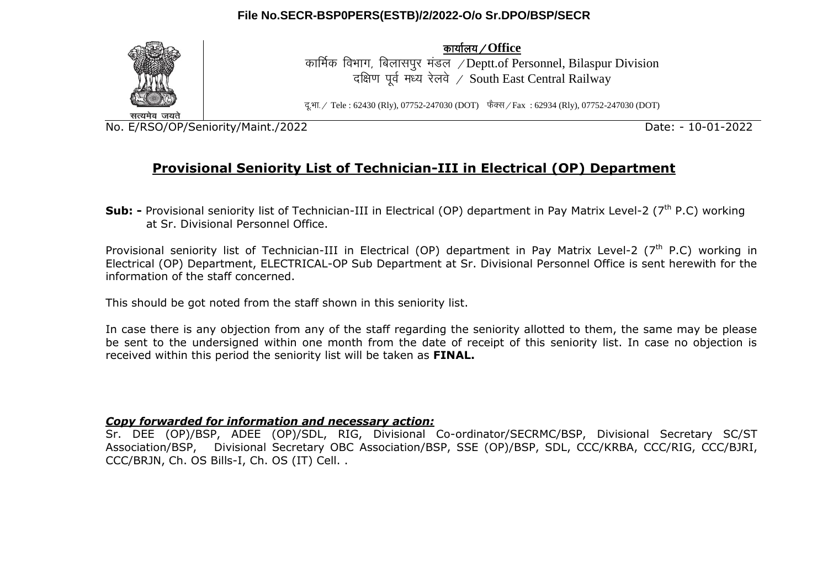## **File No.SECR-BSP0PERS(ESTB)/2/2022-O/o Sr.DPO/BSP/SECR**



dk;kZy;@**Office**

कार्मिक विभाग, बिलासपर मंडल / Deptt.of Personnel, Bilaspur Division दक्षिण पूर्व मध्य रेलवे / South East Central Railway

दु.भा. / Tele : 62430 (Rly), 07752-247030 (DOT) फैक्स / Fax : 62934 (Rly), 07752-247030 (DOT)

सत्यमेव जयते

No. E/RSO/OP/Seniority/Maint./2022 Date: - 10-01-2022

# **Provisional Seniority List of Technician-III in Electrical (OP) Department**

**Sub:** - Provisional seniority list of Technician-III in Electrical (OP) department in Pay Matrix Level-2 (7<sup>th</sup> P.C) working at Sr. Divisional Personnel Office.

Provisional seniority list of Technician-III in Electrical (OP) department in Pay Matrix Level-2 ( $7<sup>th</sup>$  P.C) working in Electrical (OP) Department, ELECTRICAL-OP Sub Department at Sr. Divisional Personnel Office is sent herewith for the information of the staff concerned.

This should be got noted from the staff shown in this seniority list.

In case there is any objection from any of the staff regarding the seniority allotted to them, the same may be please be sent to the undersigned within one month from the date of receipt of this seniority list. In case no objection is received within this period the seniority list will be taken as **FINAL.**

#### *Copy forwarded for information and necessary action:*

Sr. DEE (OP)/BSP, ADEE (OP)/SDL, RIG, Divisional Co-ordinator/SECRMC/BSP, Divisional Secretary SC/ST Association/BSP, Divisional Secretary OBC Association/BSP, SSE (OP)/BSP, SDL, CCC/KRBA, CCC/RIG, CCC/BJRI, CCC/BRJN, Ch. OS Bills-I, Ch. OS (IT) Cell. .